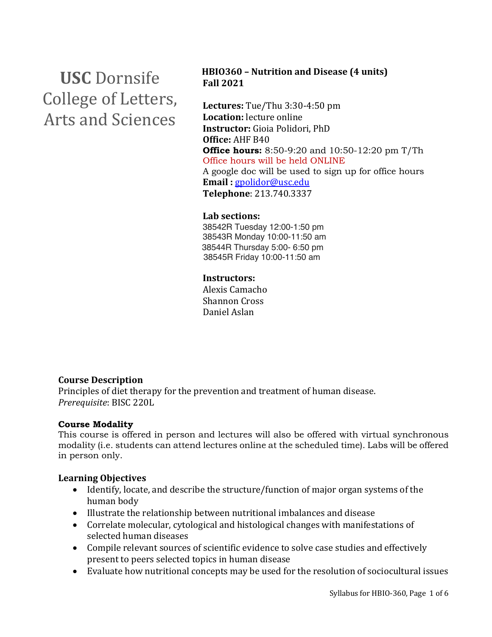# **USC** Dornsife College of Letters, Arts and Sciences

## **HBIO360 – Nutrition and Disease (4 units) Fall 2021**

Lectures: Tue/Thu 3:30-4:50 pm **Location:** lecture online **Instructor:** Gioia Polidori, PhD **Office:** AHF B40 **Office hours:** 8:50-9:20 and 10:50-12:20 pm T/Th Office hours will be held ONLINE A google doc will be used to sign up for office hours **Email :** gpolidor@usc.edu **Telephone**: 213.740.3337

#### **Lab sections:**

38542R Tuesday 12:00-1:50 pm 38543R Monday 10:00-11:50 am 38544R Thursday 5:00- 6:50 pm 38545R Friday 10:00-11:50 am

#### **Instructors:**

Alexis Camacho Shannon Cross Daniel Aslan

# **Course Description**

Principles of diet therapy for the prevention and treatment of human disease. *Prerequisite*: BISC 220L

#### **Course Modality**

This course is offered in person and lectures will also be offered with virtual synchronous modality (i.e. students can attend lectures online at the scheduled time). Labs will be offered in person only.

#### **Learning Objectives**

- Identify, locate, and describe the structure/function of major organ systems of the human body
- Illustrate the relationship between nutritional imbalances and disease
- Correlate molecular, cytological and histological changes with manifestations of selected human diseases
- Compile relevant sources of scientific evidence to solve case studies and effectively present to peers selected topics in human disease
- Evaluate how nutritional concepts may be used for the resolution of sociocultural issues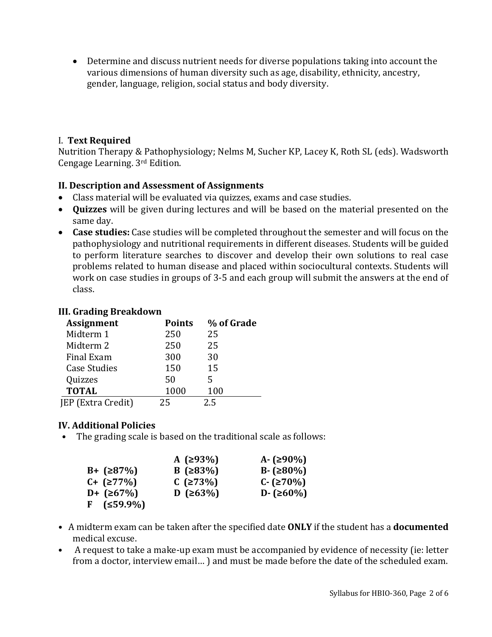• Determine and discuss nutrient needs for diverse populations taking into account the various dimensions of human diversity such as age, disability, ethnicity, ancestry, gender, language, religion, social status and body diversity.

## I. **Text Required**

Nutrition Therapy & Pathophysiology; Nelms M, Sucher KP, Lacey K, Roth SL (eds). Wadsworth Cengage Learning. 3rd Edition.

# **II. Description and Assessment of Assignments**

- Class material will be evaluated via quizzes, exams and case studies.
- **Quizzes** will be given during lectures and will be based on the material presented on the same day.
- Case studies: Case studies will be completed throughout the semester and will focus on the pathophysiology and nutritional requirements in different diseases. Students will be guided to perform literature searches to discover and develop their own solutions to real case problems related to human disease and placed within sociocultural contexts. Students will work on case studies in groups of 3-5 and each group will submit the answers at the end of class.

#### **III. Grading Breakdown**

| <b>Assignment</b>   | <b>Points</b> | % of Grade |
|---------------------|---------------|------------|
| Midterm 1           | 250           | 25         |
| Midterm 2           | 250           | 25         |
| <b>Final Exam</b>   | 300           | 30         |
| <b>Case Studies</b> | 150           | 15         |
| Quizzes             | 50            | 5          |
| <b>TOTAL</b>        | 1000          | 100        |
| JEP (Extra Credit)  | 25            | 2.5        |

# **IV. Additional Policies**

• The grading scale is based on the traditional scale as follows:

|                     | A $(293%)$ | A- $(≥90%)$   |
|---------------------|------------|---------------|
| $B + (287%)$        | B $(≥83%)$ | $B - (≥80%)$  |
| $C + (277%)$        | $C$ (≥73%) | $C - (270\%)$ |
| $D + (267%)$        | D (≥63%)   | D- $(≥60%)$   |
| $F$ ( $\leq$ 59.9%) |            |               |

- A midterm exam can be taken after the specified date **ONLY** if the student has a **documented** medical excuse.
- A request to take a make-up exam must be accompanied by evidence of necessity (ie: letter from a doctor, interview email...) and must be made before the date of the scheduled exam.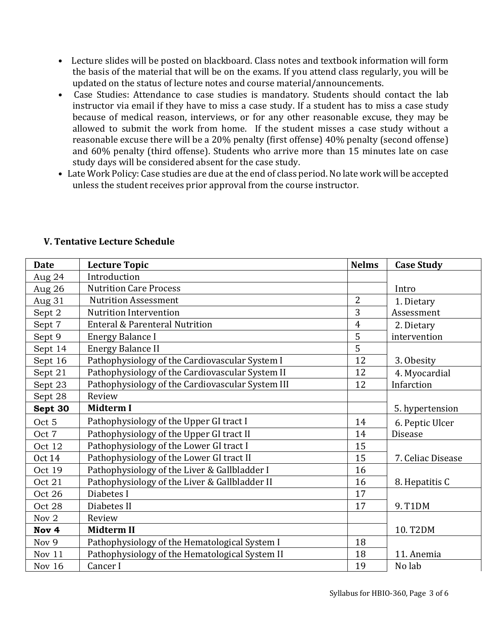- Lecture slides will be posted on blackboard. Class notes and textbook information will form the basis of the material that will be on the exams. If you attend class regularly, you will be updated on the status of lecture notes and course material/announcements.
- Case Studies: Attendance to case studies is mandatory. Students should contact the lab instructor via email if they have to miss a case study. If a student has to miss a case study because of medical reason, interviews, or for any other reasonable excuse, they may be allowed to submit the work from home. If the student misses a case study without a reasonable excuse there will be a 20% penalty (first offense) 40% penalty (second offense) and 60% penalty (third offense). Students who arrive more than 15 minutes late on case study days will be considered absent for the case study.
- Late Work Policy: Case studies are due at the end of class period. No late work will be accepted unless the student receives prior approval from the course instructor.

| <b>Date</b>      | <b>Lecture Topic</b>                             | <b>Nelms</b>   | <b>Case Study</b> |
|------------------|--------------------------------------------------|----------------|-------------------|
| Aug 24           | Introduction                                     |                |                   |
| Aug 26           | <b>Nutrition Care Process</b>                    |                | Intro             |
| Aug 31           | <b>Nutrition Assessment</b>                      | $\overline{2}$ | 1. Dietary        |
| Sept 2           | <b>Nutrition Intervention</b>                    | 3              | Assessment        |
| Sept 7           | <b>Enteral &amp; Parenteral Nutrition</b>        | $\overline{4}$ | 2. Dietary        |
| Sept 9           | <b>Energy Balance I</b>                          | 5              | intervention      |
| Sept 14          | <b>Energy Balance II</b>                         | 5              |                   |
| Sept 16          | Pathophysiology of the Cardiovascular System I   | 12             | 3. Obesity        |
| Sept 21          | Pathophysiology of the Cardiovascular System II  | 12             | 4. Myocardial     |
| Sept 23          | Pathophysiology of the Cardiovascular System III | 12             | Infarction        |
| Sept 28          | Review                                           |                |                   |
| Sept 30          | <b>Midterm I</b>                                 |                | 5. hypertension   |
| Oct 5            | Pathophysiology of the Upper GI tract I          | 14             | 6. Peptic Ulcer   |
| Oct 7            | Pathophysiology of the Upper GI tract II         | 14             | <b>Disease</b>    |
| Oct 12           | Pathophysiology of the Lower GI tract I          | 15             |                   |
| <b>Oct 14</b>    | Pathophysiology of the Lower GI tract II         | 15             | 7. Celiac Disease |
| Oct 19           | Pathophysiology of the Liver & Gallbladder I     | 16             |                   |
| Oct 21           | Pathophysiology of the Liver & Gallbladder II    | 16             | 8. Hepatitis C    |
| Oct 26           | Diabetes I                                       | 17             |                   |
| Oct 28           | Diabetes II                                      | 17             | 9. T1DM           |
| Nov 2            | Review                                           |                |                   |
| Nov <sub>4</sub> | <b>Midterm II</b>                                |                | 10. T2DM          |
| Nov 9            | Pathophysiology of the Hematological System I    | 18             |                   |
| Nov 11           | Pathophysiology of the Hematological System II   | 18             | 11. Anemia        |
| Nov 16           | Cancer I                                         | 19             | No lab            |

# **V. Tentative Lecture Schedule**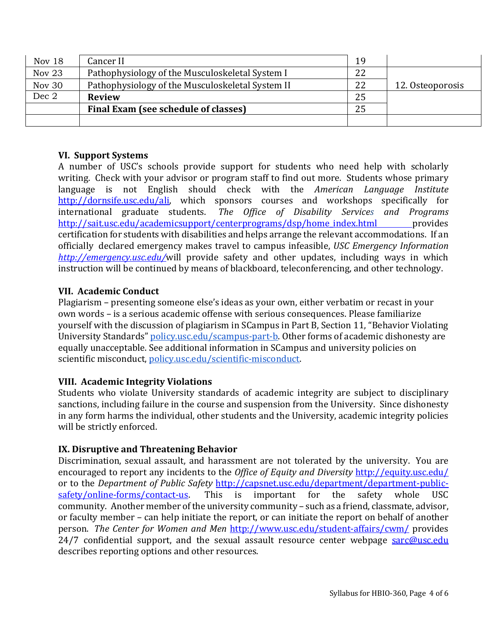| Nov 18   | Cancer II                                        | 19 |                  |
|----------|--------------------------------------------------|----|------------------|
| Nov $23$ | Pathophysiology of the Musculoskeletal System I  | 22 |                  |
| Nov 30   | Pathophysiology of the Musculoskeletal System II | 22 | 12. Osteoporosis |
| Dec 2    | <b>Review</b>                                    | 25 |                  |
|          | Final Exam (see schedule of classes)             | 25 |                  |
|          |                                                  |    |                  |

#### **VI. Support Systems**

A number of USC's schools provide support for students who need help with scholarly writing. Check with your advisor or program staff to find out more. Students whose primary language is not English should check with the *American Language Institute* http://dornsife.usc.edu/ali, which sponsors courses and workshops specifically for international graduate students. The Office of Disability Services and Programs http://sait.usc.edu/academicsupport/centerprograms/dsp/home\_index.html provides certification for students with disabilities and helps arrange the relevant accommodations. If an officially declared emergency makes travel to campus infeasible, *USC Emergency Information http://emergency.usc.edu/will* provide safety and other updates, including ways in which instruction will be continued by means of blackboard, teleconferencing, and other technology.

#### **VII. Academic Conduct**

Plagiarism – presenting someone else's ideas as your own, either verbatim or recast in your own words - is a serious academic offense with serious consequences. Please familiarize yourself with the discussion of plagiarism in SCampus in Part B, Section 11, "Behavior Violating University Standards" policy.usc.edu/scampus-part-b. Other forms of academic dishonesty are equally unacceptable. See additional information in SCampus and university policies on scientific misconduct, policy.usc.edu/scientific-misconduct.

#### **VIII. Academic Integrity Violations**

Students who violate University standards of academic integrity are subject to disciplinary sanctions, including failure in the course and suspension from the University. Since dishonesty in any form harms the individual, other students and the University, academic integrity policies will be strictly enforced.

#### **IX.** Disruptive and Threatening Behavior

Discrimination, sexual assault, and harassment are not tolerated by the university. You are encouraged to report any incidents to the *Office of Equity and Diversity* http://equity.usc.edu/ or to the *Department of Public Safety* http://capsnet.usc.edu/department/department-publicsafety/online-forms/contact-us. This is important for the safety whole USC community. Another member of the university community - such as a friend, classmate, advisor, or faculty member - can help initiate the report, or can initiate the report on behalf of another person. *The Center for Women and Men http://www.usc.edu/student-affairs/cwm/ provides*  $24/7$  confidential support, and the sexual assault resource center webpage sarc@usc.edu describes reporting options and other resources.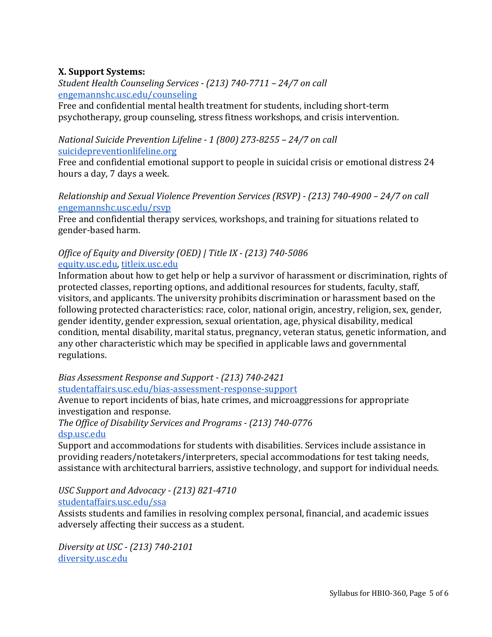# **X. Support Systems:**

*Student Health Counseling Services - (213) 740-7711 – 24/7 on call* engemannshc.usc.edu/counseling

Free and confidential mental health treatment for students, including short-term psychotherapy, group counseling, stress fitness workshops, and crisis intervention.

# *National Suicide Prevention Lifeline - 1 (800) 273-8255 – 24/7 on call* suicidepreventionlifeline.org

Free and confidential emotional support to people in suicidal crisis or emotional distress 24 hours a day, 7 days a week.

## *Relationship and Sexual Violence Prevention Services (RSVP) - (213) 740-4900 – 24/7 on call* engemannshc.usc.edu/rsvp

Free and confidential therapy services, workshops, and training for situations related to gender-based harm.

# *Office of Equity and Diversity (OED)* | Title IX - (213) 740-5086 equity.usc.edu, titleix.usc.edu

Information about how to get help or help a survivor of harassment or discrimination, rights of protected classes, reporting options, and additional resources for students, faculty, staff, visitors, and applicants. The university prohibits discrimination or harassment based on the following protected characteristics: race, color, national origin, ancestry, religion, sex, gender, gender identity, gender expression, sexual orientation, age, physical disability, medical condition, mental disability, marital status, pregnancy, veteran status, genetic information, and any other characteristic which may be specified in applicable laws and governmental regulations.

# *Bias Assessment Response and Support - (213) 740-2421* studentaffairs.usc.edu/bias-assessment-response-support

Avenue to report incidents of bias, hate crimes, and microaggressions for appropriate investigation and response.

*The Office of Disability Services and Programs - (213) 740-0776* dsp.usc.edu

Support and accommodations for students with disabilities. Services include assistance in providing readers/notetakers/interpreters, special accommodations for test taking needs, assistance with architectural barriers, assistive technology, and support for individual needs.

# *USC Support and Advocacy - (213) 821-4710*

studentaffairs.usc.edu/ssa

Assists students and families in resolving complex personal, financial, and academic issues adversely affecting their success as a student.

*Diversity at USC - (213) 740-2101* diversity.usc.edu